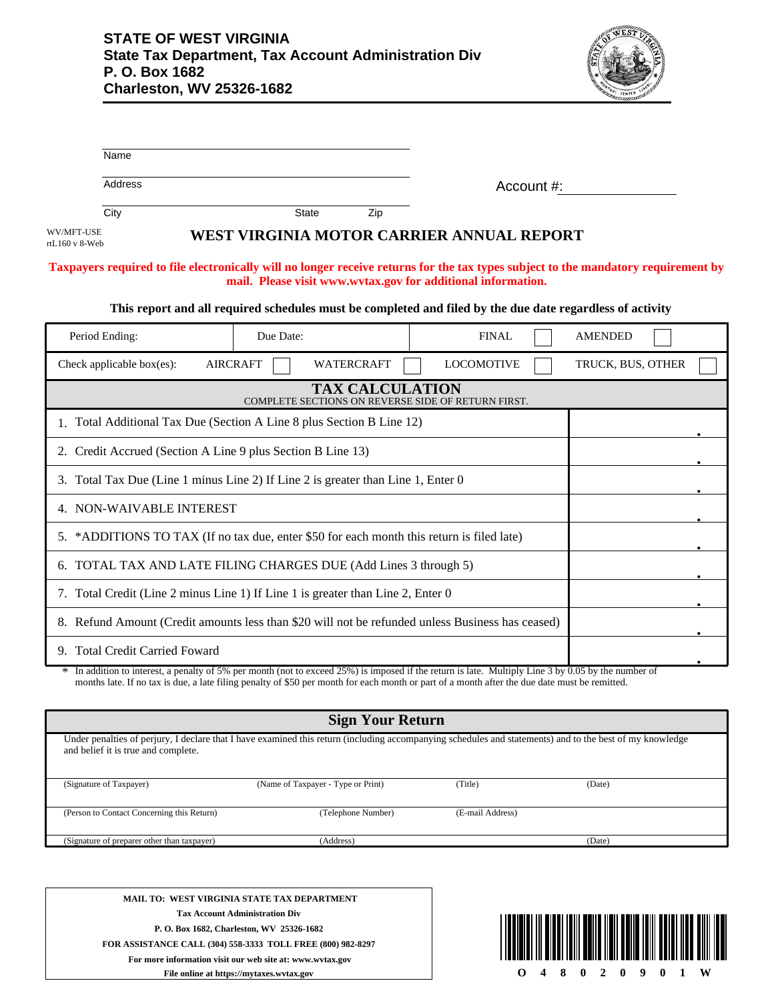

|                              | Name                                                                                      |                                    |                         |                                                                                                                                                                                                                                                                                                      |                                                                                                                                    |
|------------------------------|-------------------------------------------------------------------------------------------|------------------------------------|-------------------------|------------------------------------------------------------------------------------------------------------------------------------------------------------------------------------------------------------------------------------------------------------------------------------------------------|------------------------------------------------------------------------------------------------------------------------------------|
|                              | Address                                                                                   |                                    |                         | Account #:                                                                                                                                                                                                                                                                                           |                                                                                                                                    |
|                              | City                                                                                      | <b>State</b>                       | Zip                     |                                                                                                                                                                                                                                                                                                      |                                                                                                                                    |
| WV/MFT-USE<br>rtL160 v 8-Web |                                                                                           |                                    |                         | WEST VIRGINIA MOTOR CARRIER ANNUAL REPORT                                                                                                                                                                                                                                                            |                                                                                                                                    |
|                              |                                                                                           |                                    |                         | mail. Please visit www.wvtax.gov for additional information.                                                                                                                                                                                                                                         | Taxpayers required to file electronically will no longer receive returns for the tax types subject to the mandatory requirement by |
|                              |                                                                                           |                                    |                         | This report and all required schedules must be completed and filed by the due date regardless of activity                                                                                                                                                                                            |                                                                                                                                    |
|                              | Period Ending:                                                                            | Due Date:                          |                         | <b>FINAL</b>                                                                                                                                                                                                                                                                                         | <b>AMENDED</b>                                                                                                                     |
|                              | Check applicable box(es):                                                                 | <b>AIRCRAFT</b>                    | <b>WATERCRAFT</b>       | <b>LOCOMOTIVE</b>                                                                                                                                                                                                                                                                                    | TRUCK, BUS, OTHER                                                                                                                  |
|                              |                                                                                           |                                    | <b>TAX CALCULATION</b>  | COMPLETE SECTIONS ON REVERSE SIDE OF RETURN FIRST.                                                                                                                                                                                                                                                   |                                                                                                                                    |
|                              | 1. Total Additional Tax Due (Section A Line 8 plus Section B Line 12)                     |                                    |                         |                                                                                                                                                                                                                                                                                                      |                                                                                                                                    |
|                              | 2. Credit Accrued (Section A Line 9 plus Section B Line 13)                               |                                    |                         |                                                                                                                                                                                                                                                                                                      |                                                                                                                                    |
|                              | 3. Total Tax Due (Line 1 minus Line 2) If Line 2 is greater than Line 1, Enter 0          |                                    |                         |                                                                                                                                                                                                                                                                                                      |                                                                                                                                    |
|                              | 4. NON-WAIVABLE INTEREST                                                                  |                                    |                         |                                                                                                                                                                                                                                                                                                      |                                                                                                                                    |
|                              | 5. *ADDITIONS TO TAX (If no tax due, enter \$50 for each month this return is filed late) |                                    |                         |                                                                                                                                                                                                                                                                                                      |                                                                                                                                    |
|                              | 6. TOTAL TAX AND LATE FILING CHARGES DUE (Add Lines 3 through 5)                          |                                    |                         |                                                                                                                                                                                                                                                                                                      |                                                                                                                                    |
|                              | 7. Total Credit (Line 2 minus Line 1) If Line 1 is greater than Line 2, Enter 0           |                                    |                         |                                                                                                                                                                                                                                                                                                      |                                                                                                                                    |
|                              |                                                                                           |                                    |                         | 8. Refund Amount (Credit amounts less than \$20 will not be refunded unless Business has ceased)                                                                                                                                                                                                     |                                                                                                                                    |
|                              | 9. Total Credit Carried Foward                                                            |                                    |                         |                                                                                                                                                                                                                                                                                                      |                                                                                                                                    |
|                              |                                                                                           |                                    |                         | * In addition to interest, a penalty of 5% per month (not to exceed 25%) is imposed if the return is late. Multiply Line 3 by 0.05 by the number of<br>months late. If no tax is due, a late filing penalty of \$50 per month for each month or part of a month after the due date must be remitted. |                                                                                                                                    |
|                              |                                                                                           |                                    | <b>Sign Your Return</b> |                                                                                                                                                                                                                                                                                                      |                                                                                                                                    |
|                              | and belief it is true and complete.                                                       |                                    |                         | Under penalties of perjury, I declare that I have examined this return (including accompanying schedules and statements) and to the best of my knowledge                                                                                                                                             |                                                                                                                                    |
|                              | (Signature of Taxpayer)                                                                   | (Name of Taxpayer - Type or Print) |                         | (Title)                                                                                                                                                                                                                                                                                              | (Date)                                                                                                                             |
|                              | (Person to Contact Concerning this Return)                                                |                                    | (Telephone Number)      | (E-mail Address)                                                                                                                                                                                                                                                                                     |                                                                                                                                    |

**MAIL TO: WEST VIRGINIA STATE TAX DEPARTMENT Tax Account Administration Div P. O. Box 1682, Charleston, WV 25326-1682 FOR ASSISTANCE CALL (304) 558-3333 TOLL FREE (800) 982-8297 For more information visit our web site at: www.wvtax.gov**



(Signature of preparer other than taxpayer) (Address) (Date)